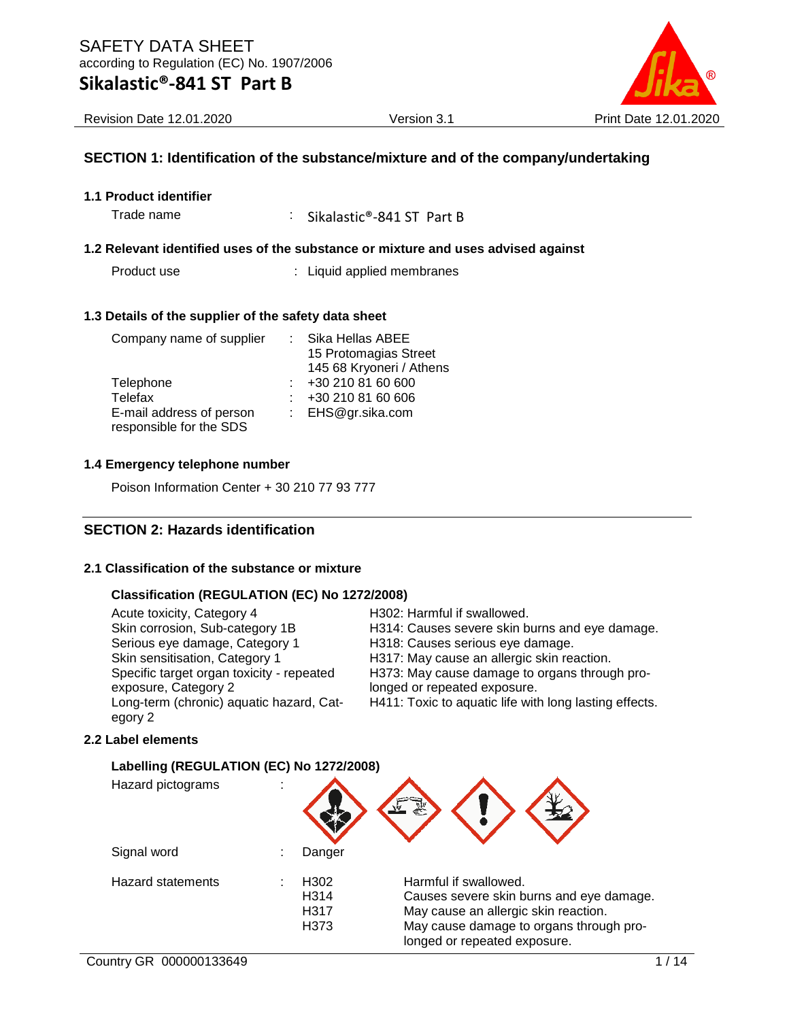

Revision Date 12.01.2020 Version 3.1 Print Date 12.01.2020

#### **SECTION 1: Identification of the substance/mixture and of the company/undertaking**

**1.1 Product identifier**

Trade name : Sikalastic®-841 ST Part B

#### **1.2 Relevant identified uses of the substance or mixture and uses advised against**

Product use : Liquid applied membranes

#### **1.3 Details of the supplier of the safety data sheet**

| Company name of supplier | : Sika Hellas ABEE       |
|--------------------------|--------------------------|
|                          | 15 Protomagias Street    |
|                          | 145 68 Kryoneri / Athens |
| Telephone                | +30 210 81 60 600        |
| Telefax                  | +30 210 81 60 606        |
| E-mail address of person | : EHS@gr.sika.com        |
| responsible for the SDS  |                          |

#### **1.4 Emergency telephone number**

Poison Information Center + 30 210 77 93 777

#### **SECTION 2: Hazards identification**

#### **2.1 Classification of the substance or mixture**

#### **Classification (REGULATION (EC) No 1272/2008)**

Acute toxicity, Category 4 H302: Harmful if swallowed. Serious eye damage, Category 1 H318: Causes serious eye damage. Skin sensitisation, Category 1 H317: May cause an allergic skin reaction. Specific target organ toxicity - repeated exposure, Category 2 Long-term (chronic) aquatic hazard, Category 2

Skin corrosion, Sub-category 1B H314: Causes severe skin burns and eye damage.

H373: May cause damage to organs through prolonged or repeated exposure.

H411: Toxic to aquatic life with long lasting effects.

#### **2.2 Label elements**

#### **Labelling (REGULATION (EC) No 1272/2008)**

| Hazard pictograms        |                              |                                                                                                                                                                                      |
|--------------------------|------------------------------|--------------------------------------------------------------------------------------------------------------------------------------------------------------------------------------|
| Signal word              | Danger                       |                                                                                                                                                                                      |
| <b>Hazard statements</b> | H302<br>H314<br>H317<br>H373 | Harmful if swallowed.<br>Causes severe skin burns and eye damage.<br>May cause an allergic skin reaction.<br>May cause damage to organs through pro-<br>longed or repeated exposure. |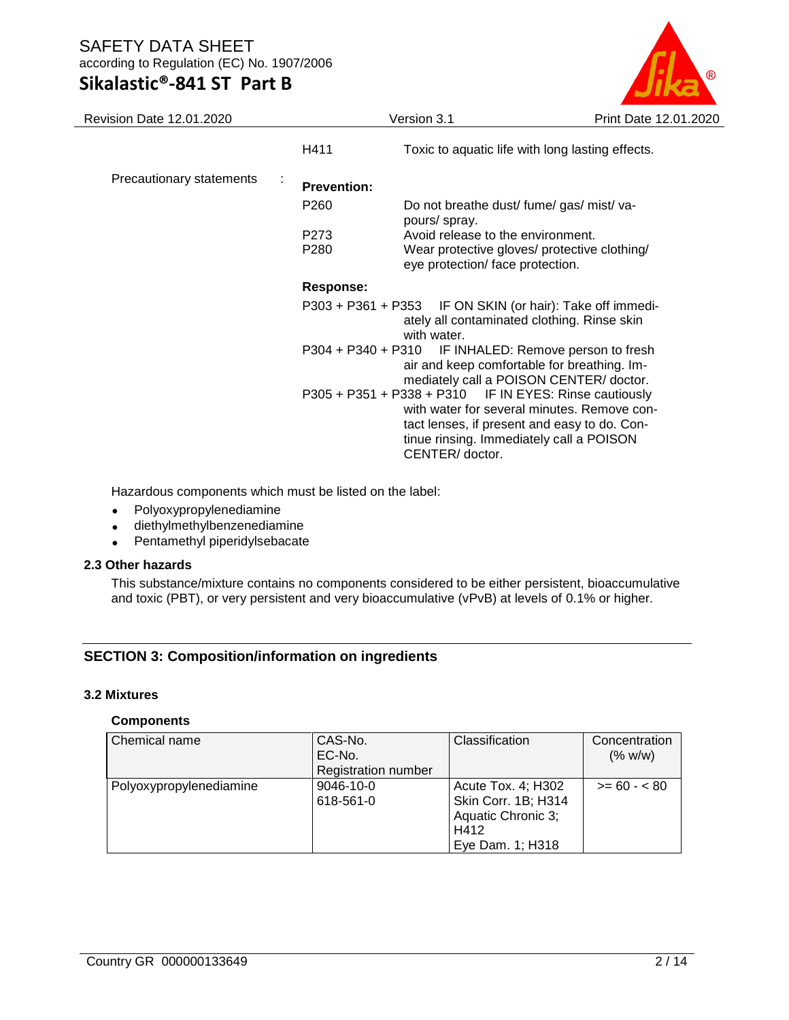# **Sikalastic®-841 ST Part B**



| Revision Date 12.01.2020 |                         | Version 3.1                                                                                                             | Print Date 12.01.2020                                                                                                        |
|--------------------------|-------------------------|-------------------------------------------------------------------------------------------------------------------------|------------------------------------------------------------------------------------------------------------------------------|
|                          | H411                    |                                                                                                                         | Toxic to aquatic life with long lasting effects.                                                                             |
| Precautionary statements | ÷<br><b>Prevention:</b> |                                                                                                                         |                                                                                                                              |
|                          | P <sub>260</sub>        | Do not breathe dust/ fume/ gas/ mist/ va-<br>pours/ spray.                                                              |                                                                                                                              |
|                          | P273                    | Avoid release to the environment.                                                                                       |                                                                                                                              |
|                          | P280                    | eye protection/face protection.                                                                                         | Wear protective gloves/ protective clothing/                                                                                 |
|                          | <b>Response:</b>        |                                                                                                                         |                                                                                                                              |
|                          |                         | P303 + P361 + P353 IF ON SKIN (or hair): Take off immedi-<br>ately all contaminated clothing. Rinse skin<br>with water. |                                                                                                                              |
|                          | $P304 + P340 + P310$    |                                                                                                                         | IF INHALED: Remove person to fresh<br>air and keep comfortable for breathing. Im-<br>mediately call a POISON CENTER/ doctor. |
|                          |                         | P305 + P351 + P338 + P310 IF IN EYES: Rinse cautiously<br>tinue rinsing. Immediately call a POISON<br>CENTER/ doctor.   | with water for several minutes. Remove con-<br>tact lenses, if present and easy to do. Con-                                  |

Hazardous components which must be listed on the label:

- Polyoxypropylenediamine
- diethylmethylbenzenediamine
- Pentamethyl piperidylsebacate

#### **2.3 Other hazards**

This substance/mixture contains no components considered to be either persistent, bioaccumulative and toxic (PBT), or very persistent and very bioaccumulative (vPvB) at levels of 0.1% or higher.

#### **SECTION 3: Composition/information on ingredients**

#### **3.2 Mixtures**

#### **Components**

| Chemical name           | CAS-No.                    | <b>Classification</b> | Concentration |
|-------------------------|----------------------------|-----------------------|---------------|
|                         | EC-No.                     |                       | (% w/w)       |
|                         | <b>Registration number</b> |                       |               |
| Polyoxypropylenediamine | 9046-10-0                  | Acute Tox. 4; H302    | $>= 60 - 80$  |
|                         | 618-561-0                  | Skin Corr. 1B; H314   |               |
|                         |                            | Aquatic Chronic 3;    |               |
|                         |                            | H412                  |               |
|                         |                            | Eye Dam. 1; H318      |               |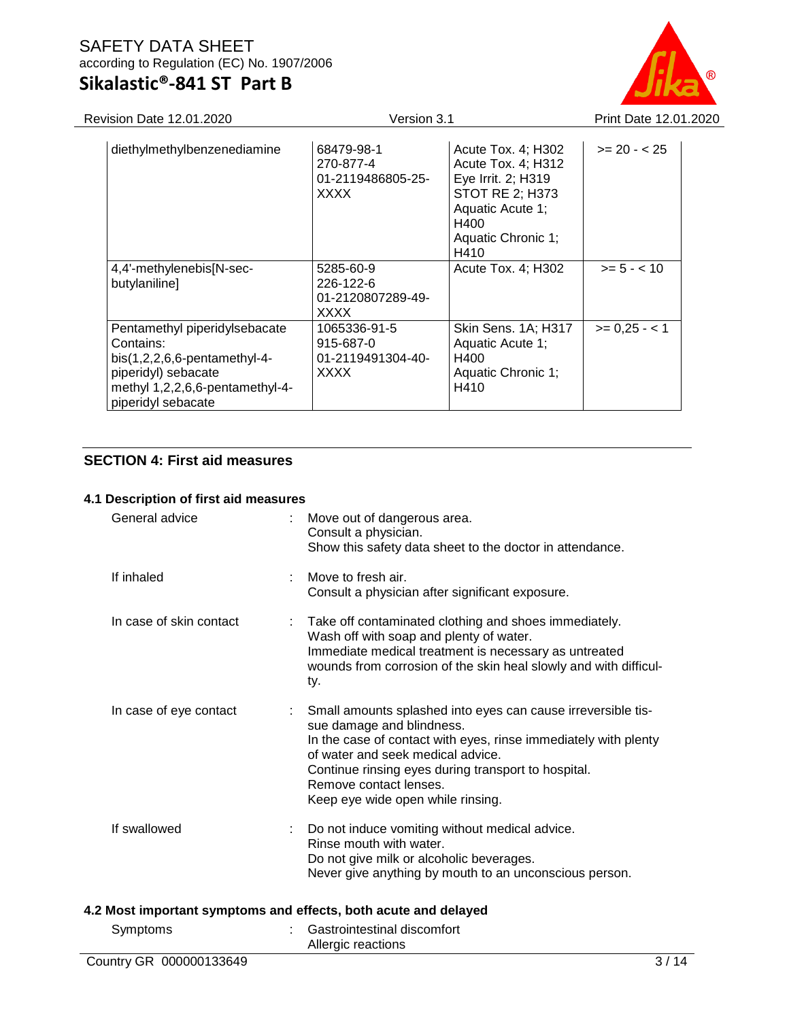### SAFETY DATA SHEET according to Regulation (EC) No. 1907/2006 **Sikalastic®-841 ST Part B**

Revision Date 12.01.2020 Version 3.1 Print Date 12.01.2020

| diethylmethylbenzenediamine                                                                                                                                  | 68479-98-1<br>270-877-4<br>01-2119486805-25-<br><b>XXXX</b>      | Acute Tox. 4; H302<br>Acute Tox. 4; H312<br>Eye Irrit. 2; H319<br><b>STOT RE 2; H373</b><br>Aquatic Acute 1;<br>H400<br>Aquatic Chronic 1;<br>H410 | $>= 20 - 25$  |
|--------------------------------------------------------------------------------------------------------------------------------------------------------------|------------------------------------------------------------------|----------------------------------------------------------------------------------------------------------------------------------------------------|---------------|
| 4,4'-methylenebis[N-sec-<br>butylaniline]                                                                                                                    | 5285-60-9<br>$226 - 122 - 6$<br>01-2120807289-49-<br><b>XXXX</b> | Acute Tox. 4; H302                                                                                                                                 | $>= 5 - < 10$ |
| Pentamethyl piperidylsebacate<br>Contains:<br>$bis(1,2,2,6,6-pentamethyl-4-$<br>piperidyl) sebacate<br>methyl 1,2,2,6,6-pentamethyl-4-<br>piperidyl sebacate | 1065336-91-5<br>915-687-0<br>01-2119491304-40-<br><b>XXXX</b>    | Skin Sens. 1A; H317<br>Aquatic Acute 1;<br>H400<br>Aquatic Chronic 1;<br>H410                                                                      | $>= 0.25 - 1$ |

### **SECTION 4: First aid measures**

#### **4.1 Description of first aid measures**

| General advice          |   | Move out of dangerous area.<br>Consult a physician.<br>Show this safety data sheet to the doctor in attendance.                                                                                                                                                                                                         |
|-------------------------|---|-------------------------------------------------------------------------------------------------------------------------------------------------------------------------------------------------------------------------------------------------------------------------------------------------------------------------|
| If inhaled              | ÷ | Move to fresh air.<br>Consult a physician after significant exposure.                                                                                                                                                                                                                                                   |
| In case of skin contact |   | Take off contaminated clothing and shoes immediately.<br>Wash off with soap and plenty of water.<br>Immediate medical treatment is necessary as untreated<br>wounds from corrosion of the skin heal slowly and with difficul-<br>ty.                                                                                    |
| In case of eye contact  |   | Small amounts splashed into eyes can cause irreversible tis-<br>sue damage and blindness.<br>In the case of contact with eyes, rinse immediately with plenty<br>of water and seek medical advice.<br>Continue rinsing eyes during transport to hospital.<br>Remove contact lenses.<br>Keep eye wide open while rinsing. |
| If swallowed            |   | Do not induce vomiting without medical advice.<br>Rinse mouth with water.<br>Do not give milk or alcoholic beverages.<br>Never give anything by mouth to an unconscious person.                                                                                                                                         |
|                         |   | 4.2 Most important symptoms and effects, both acute and delayed                                                                                                                                                                                                                                                         |
| Symptoms                |   | Gastrointestinal discomfort<br>Allergic reactions                                                                                                                                                                                                                                                                       |
| Country GR 000000133649 |   | 3/14                                                                                                                                                                                                                                                                                                                    |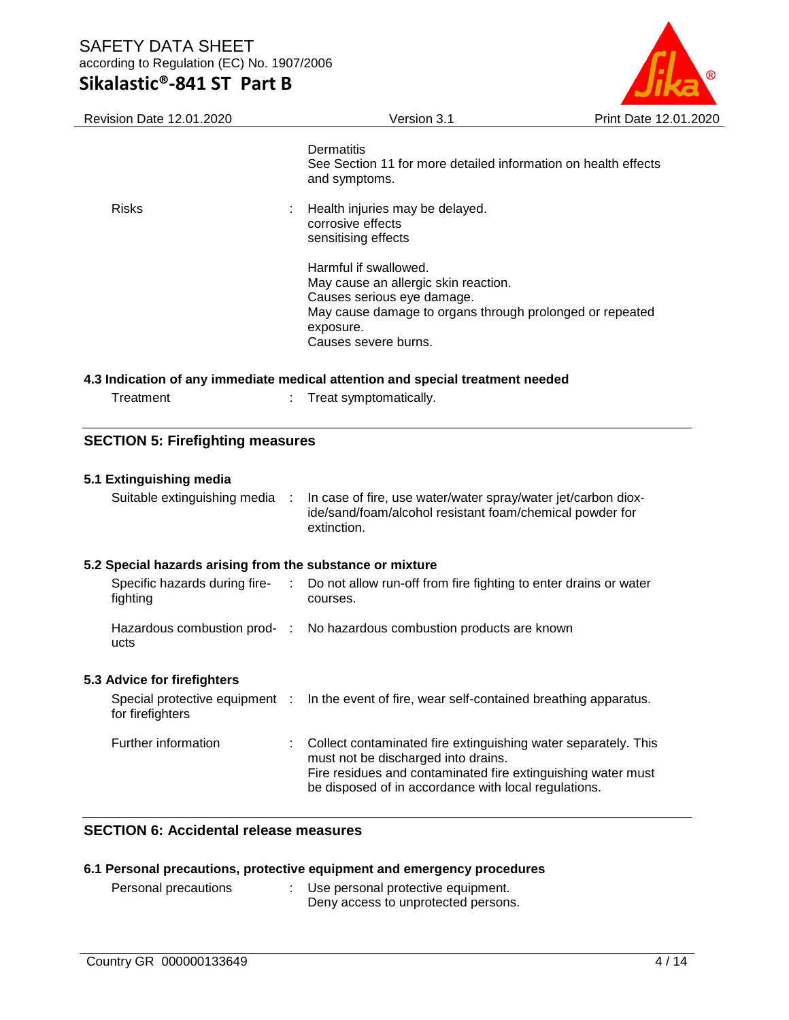

#### **4.3 Indication of any immediate medical attention and special treatment needed**

| Treatment | Treat symptomatically. |
|-----------|------------------------|
|-----------|------------------------|

#### **SECTION 5: Firefighting measures**

| 5.1 Extinguishing media<br>Suitable extinguishing media : | In case of fire, use water/water spray/water jet/carbon diox-<br>ide/sand/foam/alcohol resistant foam/chemical powder for<br>extinction.                                                                                      |
|-----------------------------------------------------------|-------------------------------------------------------------------------------------------------------------------------------------------------------------------------------------------------------------------------------|
| 5.2 Special hazards arising from the substance or mixture |                                                                                                                                                                                                                               |
| fighting                                                  | Specific hazards during fire- : Do not allow run-off from fire fighting to enter drains or water<br>courses.                                                                                                                  |
| ucts                                                      | Hazardous combustion prod- : No hazardous combustion products are known                                                                                                                                                       |
| 5.3 Advice for firefighters                               |                                                                                                                                                                                                                               |
| for firefighters                                          | Special protective equipment : In the event of fire, wear self-contained breathing apparatus.                                                                                                                                 |
| Further information                                       | Collect contaminated fire extinguishing water separately. This<br>must not be discharged into drains.<br>Fire residues and contaminated fire extinguishing water must<br>be disposed of in accordance with local regulations. |

#### **SECTION 6: Accidental release measures**

#### **6.1 Personal precautions, protective equipment and emergency procedures**

| Personal precautions | Use personal protective equipment.  |
|----------------------|-------------------------------------|
|                      | Deny access to unprotected persons. |

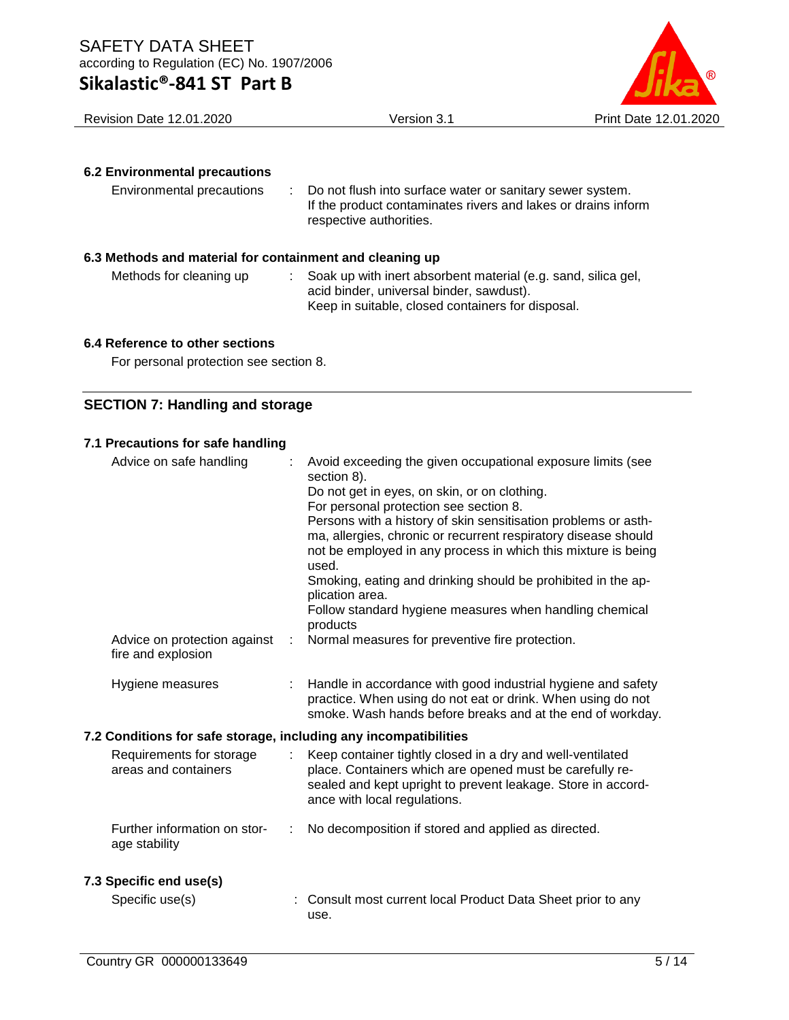

Revision Date 12.01.2020 Version 3.1 Print Date 12.01.2020

#### **6.2 Environmental precautions**

| Do not flush into surface water or sanitary sewer system.<br>Environmental precautions<br>If the product contaminates rivers and lakes or drains inform<br>respective authorities. |
|------------------------------------------------------------------------------------------------------------------------------------------------------------------------------------|
|------------------------------------------------------------------------------------------------------------------------------------------------------------------------------------|

#### **6.3 Methods and material for containment and cleaning up**

Methods for cleaning up : Soak up with inert absorbent material (e.g. sand, silica gel, acid binder, universal binder, sawdust). Keep in suitable, closed containers for disposal.

#### **6.4 Reference to other sections**

For personal protection see section 8.

#### **SECTION 7: Handling and storage**

#### **7.1 Precautions for safe handling**

| Advice on safe handling                                          | Avoid exceeding the given occupational exposure limits (see<br>section 8).<br>Do not get in eyes, on skin, or on clothing.<br>For personal protection see section 8.<br>Persons with a history of skin sensitisation problems or asth-<br>ma, allergies, chronic or recurrent respiratory disease should<br>not be employed in any process in which this mixture is being<br>used.<br>Smoking, eating and drinking should be prohibited in the ap-<br>plication area.<br>Follow standard hygiene measures when handling chemical<br>products |
|------------------------------------------------------------------|----------------------------------------------------------------------------------------------------------------------------------------------------------------------------------------------------------------------------------------------------------------------------------------------------------------------------------------------------------------------------------------------------------------------------------------------------------------------------------------------------------------------------------------------|
| Advice on protection against<br>fire and explosion               | Normal measures for preventive fire protection.                                                                                                                                                                                                                                                                                                                                                                                                                                                                                              |
| Hygiene measures                                                 | Handle in accordance with good industrial hygiene and safety<br>practice. When using do not eat or drink. When using do not<br>smoke. Wash hands before breaks and at the end of workday.                                                                                                                                                                                                                                                                                                                                                    |
| 7.2 Conditions for safe storage, including any incompatibilities |                                                                                                                                                                                                                                                                                                                                                                                                                                                                                                                                              |
| Requirements for storage<br>areas and containers                 | Keep container tightly closed in a dry and well-ventilated<br>place. Containers which are opened must be carefully re-<br>sealed and kept upright to prevent leakage. Store in accord-<br>ance with local regulations.                                                                                                                                                                                                                                                                                                                       |
| Further information on stor-<br>age stability                    | No decomposition if stored and applied as directed.                                                                                                                                                                                                                                                                                                                                                                                                                                                                                          |
| 7.3 Specific end use(s)                                          |                                                                                                                                                                                                                                                                                                                                                                                                                                                                                                                                              |
| Specific use(s)                                                  | : Consult most current local Product Data Sheet prior to any<br>use.                                                                                                                                                                                                                                                                                                                                                                                                                                                                         |
|                                                                  |                                                                                                                                                                                                                                                                                                                                                                                                                                                                                                                                              |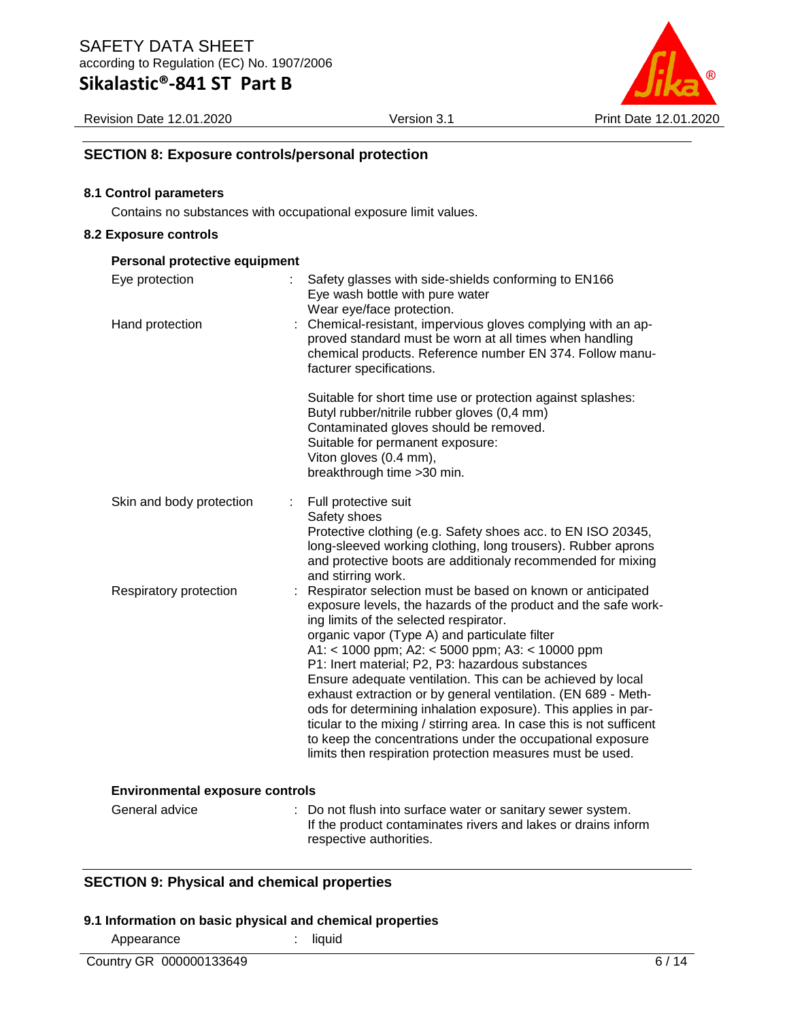Revision Date 12.01.2020 Version 3.1 Print Date 12.01.2020

#### **SECTION 8: Exposure controls/personal protection**

#### **8.1 Control parameters**

Contains no substances with occupational exposure limit values.

#### **8.2 Exposure controls**

| Personal protective equipment          |                                                                                                                                                                                                                                                                                                                                                                                                                                                                                                                                                                                                                                                                                                                                    |
|----------------------------------------|------------------------------------------------------------------------------------------------------------------------------------------------------------------------------------------------------------------------------------------------------------------------------------------------------------------------------------------------------------------------------------------------------------------------------------------------------------------------------------------------------------------------------------------------------------------------------------------------------------------------------------------------------------------------------------------------------------------------------------|
| Eye protection                         | Safety glasses with side-shields conforming to EN166<br>Eye wash bottle with pure water<br>Wear eye/face protection.                                                                                                                                                                                                                                                                                                                                                                                                                                                                                                                                                                                                               |
| Hand protection                        | : Chemical-resistant, impervious gloves complying with an ap-<br>proved standard must be worn at all times when handling<br>chemical products. Reference number EN 374. Follow manu-<br>facturer specifications.                                                                                                                                                                                                                                                                                                                                                                                                                                                                                                                   |
|                                        | Suitable for short time use or protection against splashes:<br>Butyl rubber/nitrile rubber gloves (0,4 mm)<br>Contaminated gloves should be removed.<br>Suitable for permanent exposure:<br>Viton gloves (0.4 mm),<br>breakthrough time > 30 min.                                                                                                                                                                                                                                                                                                                                                                                                                                                                                  |
| Skin and body protection<br>÷          | Full protective suit<br>Safety shoes<br>Protective clothing (e.g. Safety shoes acc. to EN ISO 20345,<br>long-sleeved working clothing, long trousers). Rubber aprons<br>and protective boots are additionaly recommended for mixing<br>and stirring work.                                                                                                                                                                                                                                                                                                                                                                                                                                                                          |
| Respiratory protection                 | Respirator selection must be based on known or anticipated<br>exposure levels, the hazards of the product and the safe work-<br>ing limits of the selected respirator.<br>organic vapor (Type A) and particulate filter<br>A1: < 1000 ppm; A2: < 5000 ppm; A3: < 10000 ppm<br>P1: Inert material; P2, P3: hazardous substances<br>Ensure adequate ventilation. This can be achieved by local<br>exhaust extraction or by general ventilation. (EN 689 - Meth-<br>ods for determining inhalation exposure). This applies in par-<br>ticular to the mixing / stirring area. In case this is not sufficent<br>to keep the concentrations under the occupational exposure<br>limits then respiration protection measures must be used. |
| <b>Environmental exposure controls</b> |                                                                                                                                                                                                                                                                                                                                                                                                                                                                                                                                                                                                                                                                                                                                    |
| General advice                         | : Do not flush into surface water or sanitary sewer system.<br>If the product contaminates rivers and lakes or drains inform<br>respective authorities.                                                                                                                                                                                                                                                                                                                                                                                                                                                                                                                                                                            |

#### **SECTION 9: Physical and chemical properties**

#### **9.1 Information on basic physical and chemical properties**

Appearance : liquid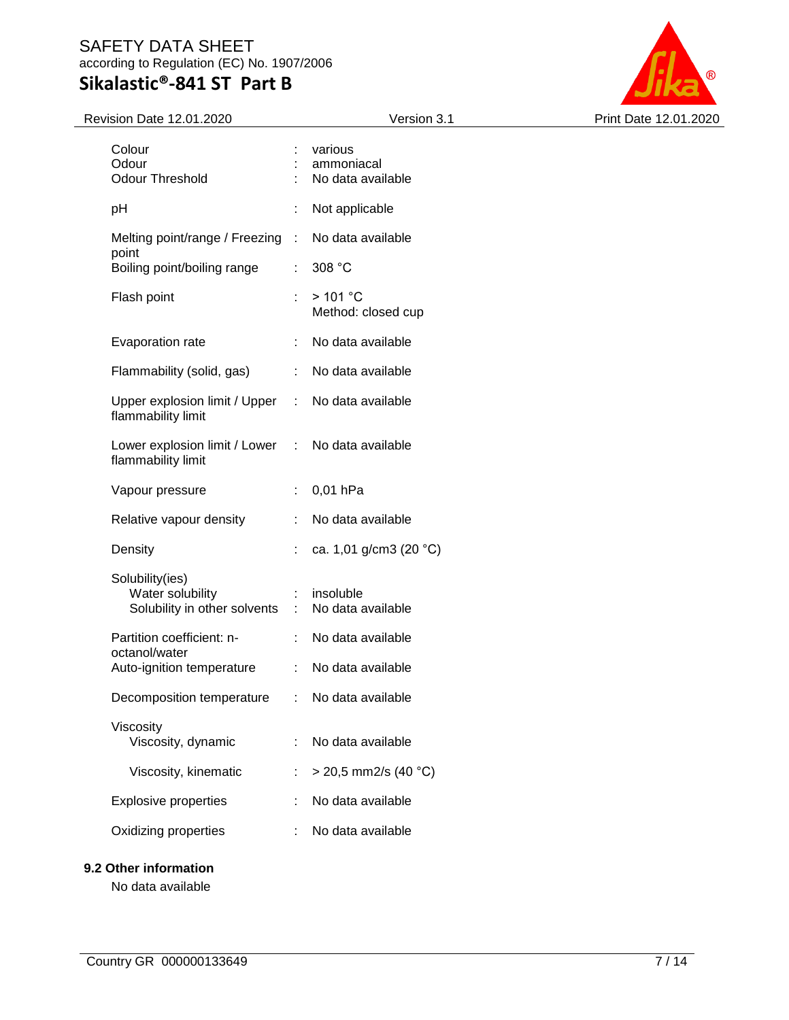

| Colour<br>Odour<br><b>Odour Threshold</b>                           |                               | various<br>ammoniacal<br>No data available |
|---------------------------------------------------------------------|-------------------------------|--------------------------------------------|
| рH                                                                  | t                             | Not applicable                             |
| Melting point/range / Freezing                                      | t.                            | No data available                          |
| point<br>Boiling point/boiling range                                | ÷                             | 308 °C                                     |
| Flash point                                                         |                               | >101 °C<br>Method: closed cup              |
| Evaporation rate                                                    |                               | No data available                          |
| Flammability (solid, gas)                                           | ÷                             | No data available                          |
| Upper explosion limit / Upper<br>flammability limit                 | t.                            | No data available                          |
| Lower explosion limit / Lower<br>flammability limit                 | t.                            | No data available                          |
| Vapour pressure                                                     | t.                            | 0,01 hPa                                   |
| Relative vapour density                                             |                               | No data available                          |
| Density                                                             |                               | ca. 1,01 g/cm3 (20 $^{\circ}$ C)           |
| Solubility(ies)<br>Water solubility<br>Solubility in other solvents | $\mathcal{I}^{\mathcal{I}}$ . | insoluble<br>No data available             |
| Partition coefficient: n-<br>octanol/water                          | ÷                             | No data available                          |
| Auto-ignition temperature                                           | ÷                             | No data available                          |
| Decomposition temperature                                           |                               | No data available                          |
| Viscosity<br>Viscosity, dynamic                                     |                               | No data available                          |
| Viscosity, kinematic                                                |                               | $>$ 20,5 mm2/s (40 °C)                     |
| <b>Explosive properties</b>                                         |                               | No data available                          |
| Oxidizing properties                                                |                               | No data available                          |
|                                                                     |                               |                                            |

#### **9.2 Other information**

No data available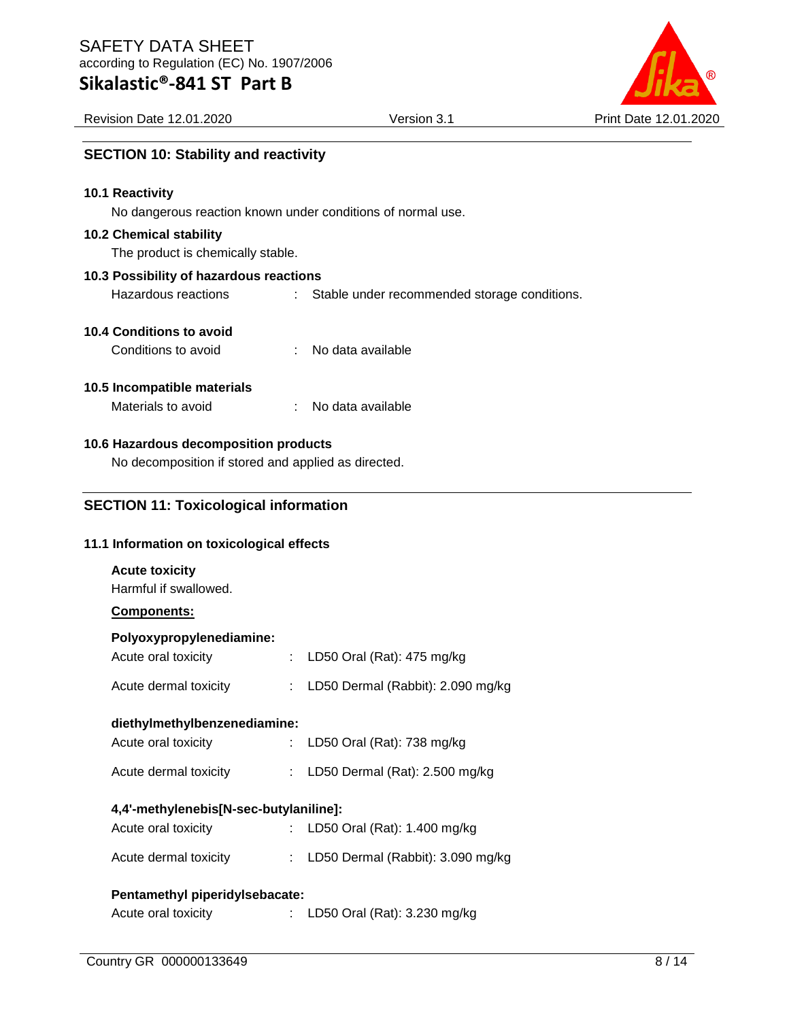**SECTION 10: Stability and reactivity**

# **Sikalastic®-841 ST Part B**

| Revision Date 12.01.2020<br>. Version ب | Print Date 12.01.2020 |
|-----------------------------------------|-----------------------|
|-----------------------------------------|-----------------------|

| 10.1 Reactivity                                     |                                                             |                                              |  |  |  |  |  |  |  |
|-----------------------------------------------------|-------------------------------------------------------------|----------------------------------------------|--|--|--|--|--|--|--|
|                                                     | No dangerous reaction known under conditions of normal use. |                                              |  |  |  |  |  |  |  |
| <b>10.2 Chemical stability</b>                      |                                                             |                                              |  |  |  |  |  |  |  |
|                                                     | The product is chemically stable.                           |                                              |  |  |  |  |  |  |  |
|                                                     | 10.3 Possibility of hazardous reactions                     |                                              |  |  |  |  |  |  |  |
| Hazardous reactions                                 |                                                             | Stable under recommended storage conditions. |  |  |  |  |  |  |  |
| 10.4 Conditions to avoid                            |                                                             |                                              |  |  |  |  |  |  |  |
| Conditions to avoid                                 | ÷                                                           | No data available                            |  |  |  |  |  |  |  |
|                                                     |                                                             |                                              |  |  |  |  |  |  |  |
| 10.5 Incompatible materials                         |                                                             |                                              |  |  |  |  |  |  |  |
| Materials to avoid                                  |                                                             | No data available                            |  |  |  |  |  |  |  |
|                                                     |                                                             |                                              |  |  |  |  |  |  |  |
| 10.6 Hazardous decomposition products               |                                                             |                                              |  |  |  |  |  |  |  |
| No decomposition if stored and applied as directed. |                                                             |                                              |  |  |  |  |  |  |  |
|                                                     |                                                             |                                              |  |  |  |  |  |  |  |
| <b>SECTION 11: Toxicological information</b>        |                                                             |                                              |  |  |  |  |  |  |  |
|                                                     |                                                             |                                              |  |  |  |  |  |  |  |
| 11.1 Information on toxicological effects           |                                                             |                                              |  |  |  |  |  |  |  |
| <b>Acute toxicity</b>                               |                                                             |                                              |  |  |  |  |  |  |  |
| Harmful if swallowed.                               |                                                             |                                              |  |  |  |  |  |  |  |
| Components:                                         |                                                             |                                              |  |  |  |  |  |  |  |
| Polyoxypropylenediamine:                            |                                                             |                                              |  |  |  |  |  |  |  |
| Acute oral toxicity                                 | $\mathbb{R}^{\mathbb{Z}}$                                   | LD50 Oral (Rat): 475 mg/kg                   |  |  |  |  |  |  |  |
| Acute dermal toxicity                               | $\mathbb{Z}^{\mathbb{Z}}$                                   | LD50 Dermal (Rabbit): 2.090 mg/kg            |  |  |  |  |  |  |  |
|                                                     |                                                             |                                              |  |  |  |  |  |  |  |
| diethylmethylbenzenediamine:                        |                                                             |                                              |  |  |  |  |  |  |  |
| Acute oral toxicity                                 |                                                             | LD50 Oral (Rat): 738 mg/kg                   |  |  |  |  |  |  |  |

#### **4,4'-methylenebis[N-sec-butylaniline]:**

| Acute oral toxicity   |  | : LD50 Oral (Rat): $1.400$ mg/kg      |  |  |
|-----------------------|--|---------------------------------------|--|--|
| Acute dermal toxicity |  | : LD50 Dermal (Rabbit): $3.090$ mg/kg |  |  |

Acute dermal toxicity : LD50 Dermal (Rat): 2.500 mg/kg

#### **Pentamethyl piperidylsebacate:**

Acute oral toxicity : LD50 Oral (Rat): 3.230 mg/kg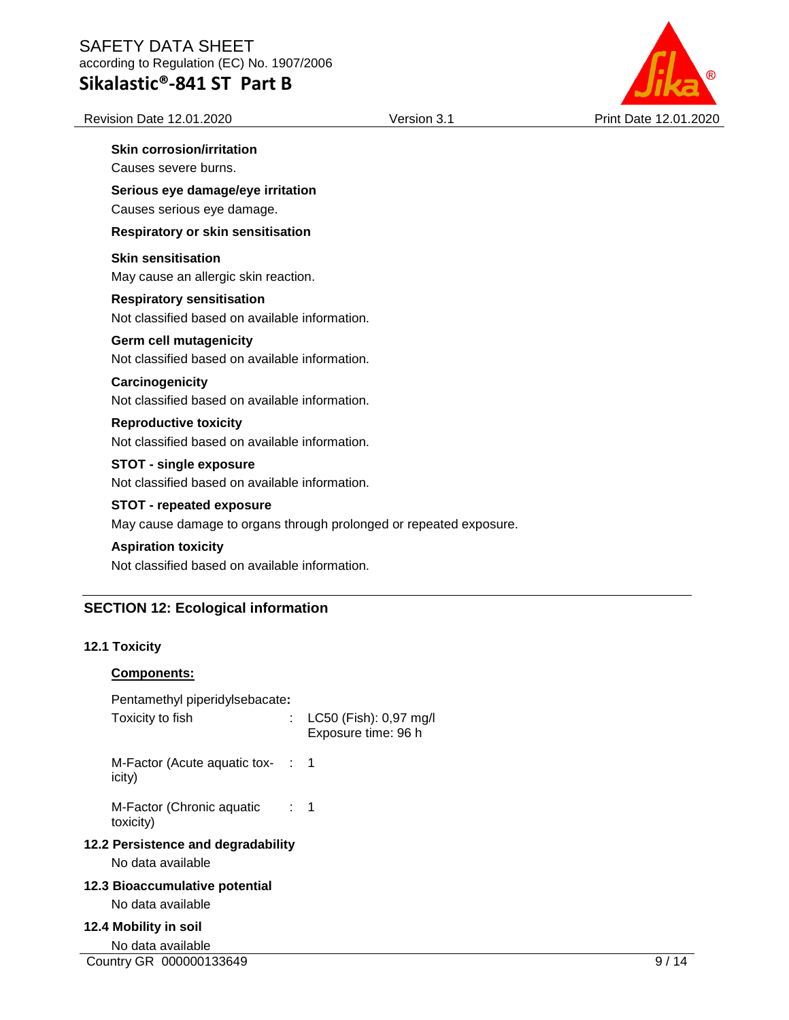# **Sikalastic®-841 ST Part B**

Revision Date 12.01.2020 Version 3.1 Print Date 12.01.2020

## **Skin corrosion/irritation**

Causes severe burns.

**Serious eye damage/eye irritation** Causes serious eye damage.

**Respiratory or skin sensitisation**

**Skin sensitisation** May cause an allergic skin reaction.

#### **Respiratory sensitisation** Not classified based on available information.

#### **Germ cell mutagenicity**

Not classified based on available information.

#### **Carcinogenicity**

Not classified based on available information.

#### **Reproductive toxicity**

Not classified based on available information.

#### **STOT - single exposure**

Not classified based on available information.

#### **STOT - repeated exposure**

May cause damage to organs through prolonged or repeated exposure.

#### **Aspiration toxicity**

Not classified based on available information.

### **SECTION 12: Ecological information**

#### **12.1 Toxicity**

#### **Components:**

| Pentamethyl piperidylsebacate:<br>Toxicity to fish      |                | : LC50 (Fish): 0,97 mg/l<br>Exposure time: 96 h |
|---------------------------------------------------------|----------------|-------------------------------------------------|
| M-Factor (Acute aquatic tox- $\;$ : 1<br>icity)         |                |                                                 |
| M-Factor (Chronic aquatic<br>toxicity)                  | $\therefore$ 1 |                                                 |
| 12.2 Persistence and degradability<br>No data available |                |                                                 |
| 12.3 Bioaccumulative potential<br>No data available     |                |                                                 |
| 12.4 Mobility in soil<br>No data available              |                |                                                 |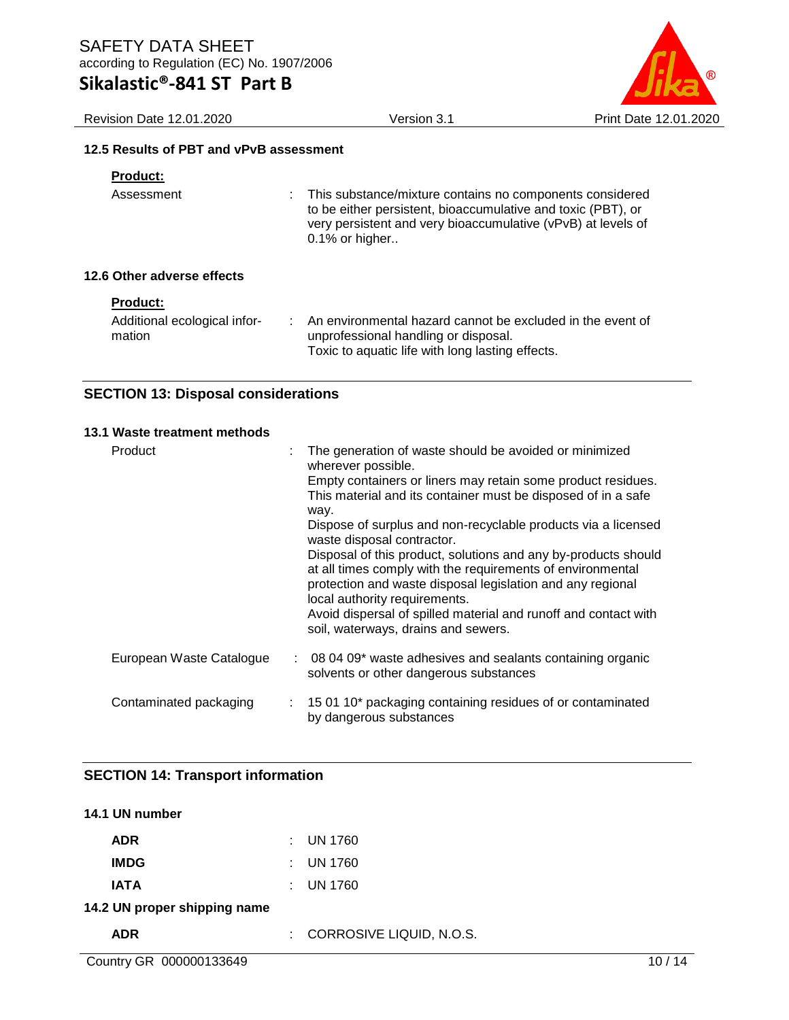Revision Date 12.01.2020 Version 3.1 Print Date 12.01.2020

#### **12.5 Results of PBT and vPvB assessment**

| <b>Product:</b>             |                                                                                                                                                                                                                     |
|-----------------------------|---------------------------------------------------------------------------------------------------------------------------------------------------------------------------------------------------------------------|
| Assessment                  | This substance/mixture contains no components considered<br>t.<br>to be either persistent, bioaccumulative and toxic (PBT), or<br>very persistent and very bioaccumulative (vPvB) at levels of<br>$0.1\%$ or higher |
| 12.6 Other adverse effects  |                                                                                                                                                                                                                     |
| <b>Product:</b>             |                                                                                                                                                                                                                     |
| Additional occlosical infor | An environmental bezerd connot be evoluded in the event of                                                                                                                                                          |

| Additional ecological infor- | An environmental hazard cannot be excluded in the event of |
|------------------------------|------------------------------------------------------------|
| mation                       | unprofessional handling or disposal.                       |
|                              | Toxic to aquatic life with long lasting effects.           |

### **SECTION 13: Disposal considerations**

#### **13.1 Waste treatment methods**

| Product                  | The generation of waste should be avoided or minimized<br>wherever possible.<br>Empty containers or liners may retain some product residues.<br>This material and its container must be disposed of in a safe<br>way.<br>Dispose of surplus and non-recyclable products via a licensed<br>waste disposal contractor.<br>Disposal of this product, solutions and any by-products should<br>at all times comply with the requirements of environmental<br>protection and waste disposal legislation and any regional<br>local authority requirements.<br>Avoid dispersal of spilled material and runoff and contact with<br>soil, waterways, drains and sewers. |  |
|--------------------------|---------------------------------------------------------------------------------------------------------------------------------------------------------------------------------------------------------------------------------------------------------------------------------------------------------------------------------------------------------------------------------------------------------------------------------------------------------------------------------------------------------------------------------------------------------------------------------------------------------------------------------------------------------------|--|
| European Waste Catalogue | $\therefore$ 08 04 09 $^*$ waste adhesives and sealants containing organic<br>solvents or other dangerous substances                                                                                                                                                                                                                                                                                                                                                                                                                                                                                                                                          |  |
| Contaminated packaging   | : 15 01 10* packaging containing residues of or contaminated<br>by dangerous substances                                                                                                                                                                                                                                                                                                                                                                                                                                                                                                                                                                       |  |

### **SECTION 14: Transport information**

# **14.1 UN number ADR** : UN 1760 **IMDG** : UN 1760 **IATA** : UN 1760 **14.2 UN proper shipping name ADR** : CORROSIVE LIQUID, N.O.S.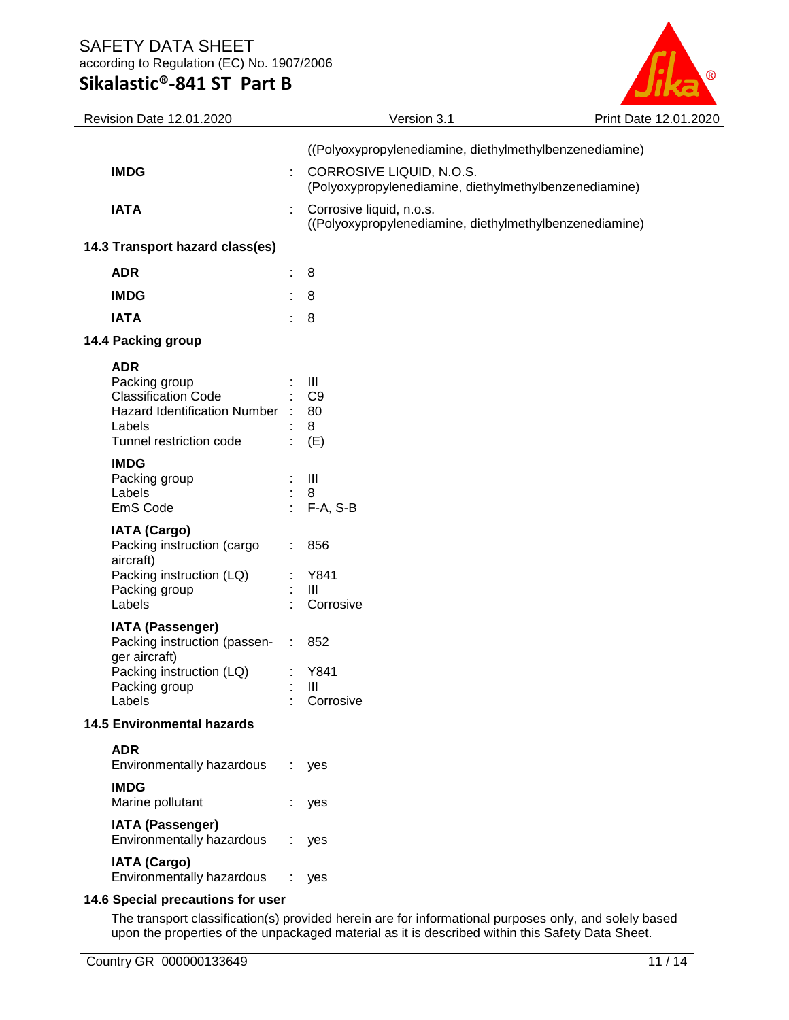# **Sikalastic®-841 ST Part B**



| Revision Date 12.01.2020                                     |                           | Version 3.1                                                                         | Print Date 12.01.2020 |
|--------------------------------------------------------------|---------------------------|-------------------------------------------------------------------------------------|-----------------------|
|                                                              |                           | ((Polyoxypropylenediamine, diethylmethylbenzenediamine)                             |                       |
| <b>IMDG</b>                                                  |                           | CORROSIVE LIQUID, N.O.S.<br>(Polyoxypropylenediamine, diethylmethylbenzenediamine)  |                       |
| <b>IATA</b>                                                  |                           | Corrosive liquid, n.o.s.<br>((Polyoxypropylenediamine, diethylmethylbenzenediamine) |                       |
| 14.3 Transport hazard class(es)                              |                           |                                                                                     |                       |
| <b>ADR</b>                                                   | ÷.                        | 8                                                                                   |                       |
| <b>IMDG</b>                                                  | ÷.                        | 8                                                                                   |                       |
| <b>IATA</b>                                                  | ÷                         | 8                                                                                   |                       |
| 14.4 Packing group                                           |                           |                                                                                     |                       |
| <b>ADR</b>                                                   |                           |                                                                                     |                       |
| Packing group                                                |                           | Ш                                                                                   |                       |
| <b>Classification Code</b><br>Hazard Identification Number : |                           | C <sub>9</sub><br>80                                                                |                       |
| Labels                                                       |                           | 8                                                                                   |                       |
| Tunnel restriction code                                      | ÷.                        | (E)                                                                                 |                       |
| <b>IMDG</b>                                                  |                           |                                                                                     |                       |
| Packing group                                                |                           | Ш                                                                                   |                       |
| Labels<br>EmS Code                                           | $\mathbb{R}^{\mathbb{Z}}$ | 8<br>$F-A, S-B$                                                                     |                       |
|                                                              |                           |                                                                                     |                       |
| <b>IATA (Cargo)</b><br>Packing instruction (cargo            |                           | 856                                                                                 |                       |
| aircraft)                                                    |                           |                                                                                     |                       |
| Packing instruction (LQ)                                     |                           | Y841                                                                                |                       |
| Packing group                                                |                           | $\mathbf{III}$                                                                      |                       |
| Labels                                                       |                           | Corrosive                                                                           |                       |
| <b>IATA (Passenger)</b><br>Packing instruction (passen- :    |                           | 852                                                                                 |                       |
| ger aircraft)<br>Packing instruction (LQ)                    |                           | Y841                                                                                |                       |
| Packing group                                                |                           | $\mathbf{III}$                                                                      |                       |
| Labels                                                       |                           | Corrosive                                                                           |                       |
| <b>14.5 Environmental hazards</b>                            |                           |                                                                                     |                       |
| <b>ADR</b>                                                   |                           |                                                                                     |                       |
| Environmentally hazardous                                    | ÷                         | yes                                                                                 |                       |
| <b>IMDG</b><br>Marine pollutant                              |                           | yes                                                                                 |                       |
| <b>IATA (Passenger)</b><br>Environmentally hazardous         |                           | yes                                                                                 |                       |
| <b>IATA (Cargo)</b><br>Environmentally hazardous             | ÷                         | yes                                                                                 |                       |
| 14.6 Special precautions for user                            |                           |                                                                                     |                       |
|                                                              |                           |                                                                                     |                       |

The transport classification(s) provided herein are for informational purposes only, and solely based upon the properties of the unpackaged material as it is described within this Safety Data Sheet.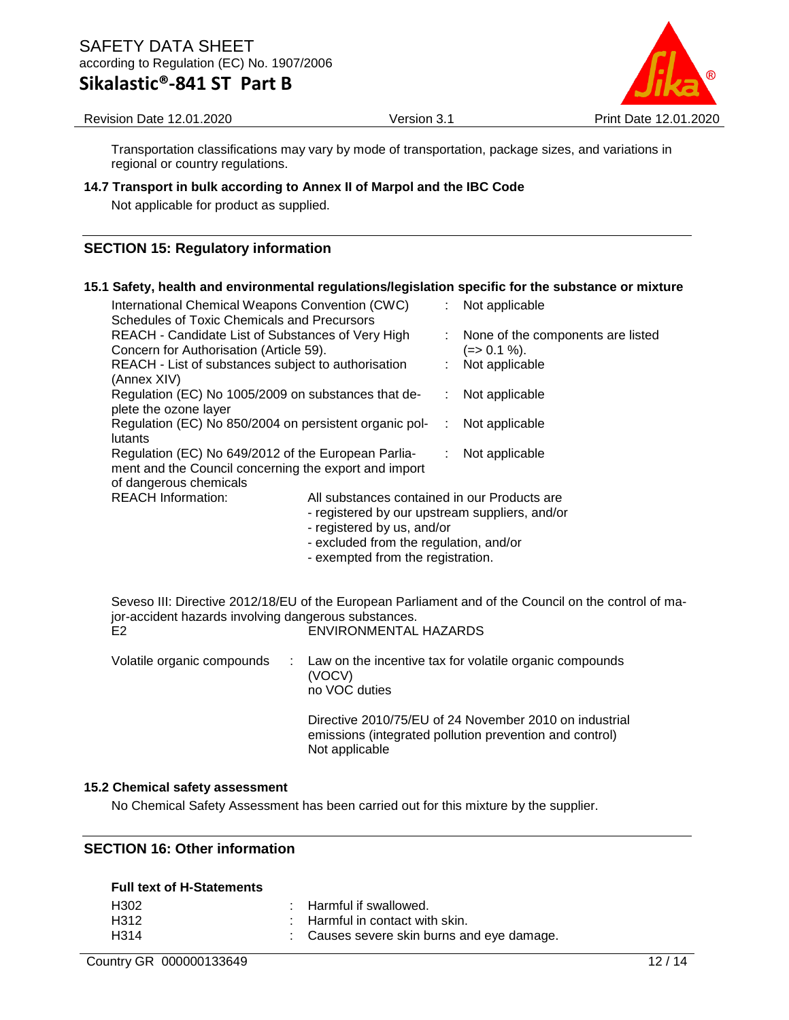**Sikalastic®-841 ST Part B**



Revision Date 12.01.2020 Version 3.1 Print Date 12.01.2020

Transportation classifications may vary by mode of transportation, package sizes, and variations in regional or country regulations.

#### **14.7 Transport in bulk according to Annex II of Marpol and the IBC Code**

Not applicable for product as supplied.

### **SECTION 15: Regulatory information**

#### **15.1 Safety, health and environmental regulations/legislation specific for the substance or mixture**

| International Chemical Weapons Convention (CWC)                           |                                                |                | Not applicable                    |
|---------------------------------------------------------------------------|------------------------------------------------|----------------|-----------------------------------|
| Schedules of Toxic Chemicals and Precursors                               |                                                |                |                                   |
| REACH - Candidate List of Substances of Very High                         |                                                |                | None of the components are listed |
| Concern for Authorisation (Article 59).                                   |                                                |                | (=> 0.1 %).                       |
| REACH - List of substances subject to authorisation                       |                                                |                | Not applicable                    |
| (Annex XIV)                                                               |                                                |                |                                   |
| Regulation (EC) No 1005/2009 on substances that de-                       |                                                |                | Not applicable                    |
| plete the ozone layer                                                     |                                                |                |                                   |
| Regulation (EC) No 850/2004 on persistent organic pol-                    |                                                | Not applicable |                                   |
| lutants                                                                   |                                                |                |                                   |
| Regulation (EC) No 649/2012 of the European Parlia-                       |                                                | t.             | Not applicable                    |
| ment and the Council concerning the export and import                     |                                                |                |                                   |
| of dangerous chemicals                                                    |                                                |                |                                   |
| <b>REACH Information:</b><br>All substances contained in our Products are |                                                |                |                                   |
|                                                                           | - registered by our upstream suppliers, and/or |                |                                   |
|                                                                           | $-$ radictorad by us and/or                    |                |                                   |

- registered by us, and/or
- excluded from the regulation, and/or
- exempted from the registration.

Seveso III: Directive 2012/18/EU of the European Parliament and of the Council on the control of major-accident hazards involving dangerous substances. ENVIRONMENTAL HAZARDS

Volatile organic compounds : Law on the incentive tax for volatile organic compounds (VOCV) no VOC duties

> Directive 2010/75/EU of 24 November 2010 on industrial emissions (integrated pollution prevention and control) Not applicable

#### **15.2 Chemical safety assessment**

No Chemical Safety Assessment has been carried out for this mixture by the supplier.

#### **SECTION 16: Other information**

#### **Full text of H-Statements**

| H <sub>302</sub> | : Harmful if swallowed.                    |
|------------------|--------------------------------------------|
| H312             | : Harmful in contact with skin.            |
| H314             | : Causes severe skin burns and eye damage. |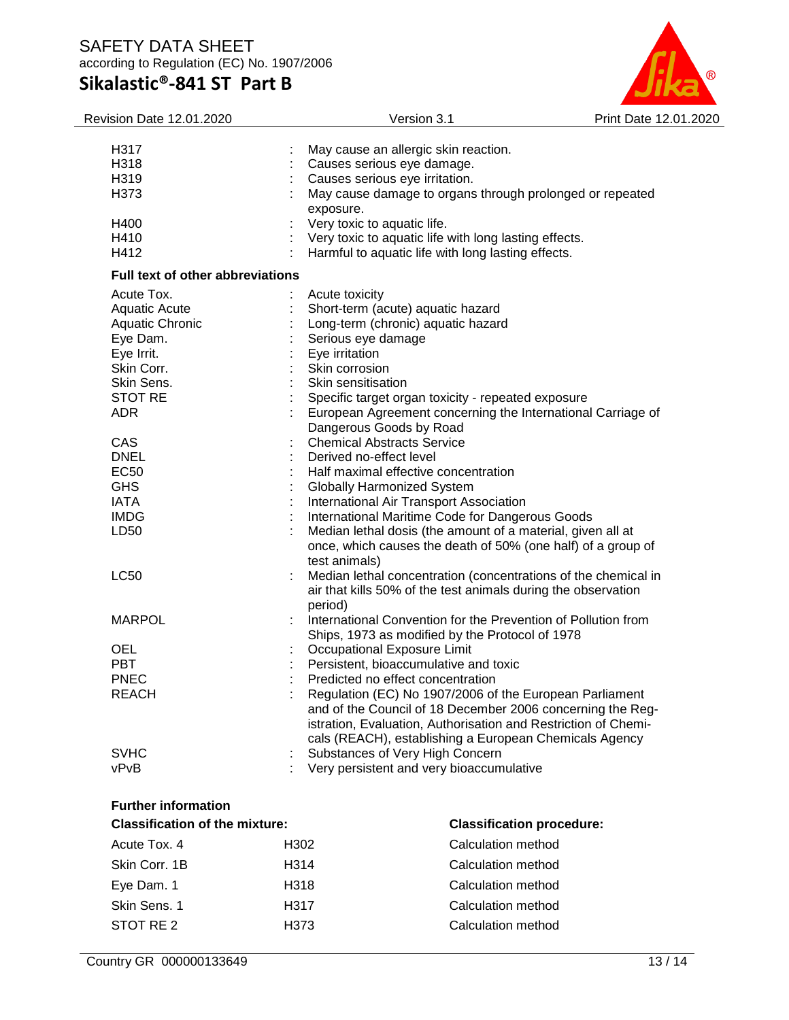

| <b>Revision Date 12.01.2020</b>                                     |                         | Version 3.1                                                    | Print Date 12.01.2020 |
|---------------------------------------------------------------------|-------------------------|----------------------------------------------------------------|-----------------------|
|                                                                     |                         |                                                                |                       |
| H317                                                                |                         | May cause an allergic skin reaction.                           |                       |
| H318                                                                |                         | Causes serious eye damage.                                     |                       |
| H319                                                                |                         | Causes serious eye irritation.                                 |                       |
| H373                                                                |                         | May cause damage to organs through prolonged or repeated       |                       |
| H400                                                                | exposure.               | Very toxic to aquatic life.                                    |                       |
| H410                                                                |                         | Very toxic to aquatic life with long lasting effects.          |                       |
| H412                                                                |                         | Harmful to aquatic life with long lasting effects.             |                       |
| <b>Full text of other abbreviations</b>                             |                         |                                                                |                       |
|                                                                     |                         |                                                                |                       |
| Acute Tox.                                                          | Acute toxicity          |                                                                |                       |
| Aquatic Acute                                                       |                         | Short-term (acute) aquatic hazard                              |                       |
| Aquatic Chronic                                                     |                         | Long-term (chronic) aquatic hazard                             |                       |
| Eye Dam.                                                            | Serious eye damage      |                                                                |                       |
| Eye Irrit.                                                          | Eye irritation          |                                                                |                       |
| Skin Corr.                                                          | Skin corrosion          |                                                                |                       |
| Skin Sens.                                                          | Skin sensitisation      |                                                                |                       |
| <b>STOT RE</b>                                                      |                         | Specific target organ toxicity - repeated exposure             |                       |
| <b>ADR</b>                                                          |                         | European Agreement concerning the International Carriage of    |                       |
|                                                                     |                         | Dangerous Goods by Road                                        |                       |
| CAS                                                                 |                         | <b>Chemical Abstracts Service</b>                              |                       |
| <b>DNEL</b>                                                         | Derived no-effect level |                                                                |                       |
| EC50                                                                |                         | Half maximal effective concentration                           |                       |
| <b>GHS</b>                                                          |                         | Globally Harmonized System                                     |                       |
| <b>IATA</b>                                                         |                         | International Air Transport Association                        |                       |
| <b>IMDG</b>                                                         |                         | International Maritime Code for Dangerous Goods                |                       |
| LD50                                                                |                         | Median lethal dosis (the amount of a material, given all at    |                       |
|                                                                     |                         | once, which causes the death of 50% (one half) of a group of   |                       |
|                                                                     | test animals)           |                                                                |                       |
| <b>LC50</b>                                                         |                         | Median lethal concentration (concentrations of the chemical in |                       |
|                                                                     |                         | air that kills 50% of the test animals during the observation  |                       |
|                                                                     | period)                 |                                                                |                       |
| <b>MARPOL</b>                                                       |                         | International Convention for the Prevention of Pollution from  |                       |
|                                                                     |                         | Ships, 1973 as modified by the Protocol of 1978                |                       |
| <b>OEL</b>                                                          |                         | Occupational Exposure Limit                                    |                       |
| <b>PBT</b>                                                          |                         | Persistent, bioaccumulative and toxic                          |                       |
| <b>PNEC</b>                                                         |                         | Predicted no effect concentration                              |                       |
| REACH                                                               |                         | Regulation (EC) No 1907/2006 of the European Parliament        |                       |
|                                                                     |                         | and of the Council of 18 December 2006 concerning the Reg-     |                       |
|                                                                     |                         | istration, Evaluation, Authorisation and Restriction of Chemi- |                       |
|                                                                     |                         | cals (REACH), establishing a European Chemicals Agency         |                       |
| <b>SVHC</b>                                                         |                         | Substances of Very High Concern                                |                       |
| vPvB                                                                |                         | Very persistent and very bioaccumulative                       |                       |
|                                                                     |                         |                                                                |                       |
| <b>Further information</b><br><b>Classification of the mixture:</b> |                         | <b>Classification procedure:</b>                               |                       |
| Acute Tox, 4                                                        | H302                    | Calculation method                                             |                       |
|                                                                     | H314                    |                                                                |                       |
| Skin Corr. 1B                                                       |                         | <b>Calculation method</b>                                      |                       |